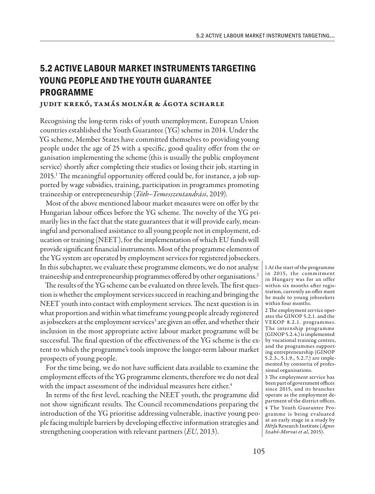## **5.2 ACTIVE LABOUR MARKET INSTRUMENTS TARGETING YOUNG PEOPLE AND THE YOUTH GUARANTEE PROGRAMME**

## Judit Krekó, Tamás Molnár & Ágota Scharle

Recognising the long-term risks of youth unemployment, European Union countries established the Youth Guarantee (YG) scheme in 2014. Under the YG scheme, Member States have committed themselves to providing young people under the age of 25 with a specific, good quality offer from the organisation implementing the scheme (this is usually the public employment service) shortly after completing their studies or losing their job, starting in 2015.<sup>1</sup> The meaningful opportunity offered could be, for instance, a job supported by wage subsidies, training, participation in programmes promoting traineeship or entrepreneurship (*Tóth–Temesszentandrási*, 2019).

Most of the above mentioned labour market measures were on offer by the Hungarian labour offices before the YG scheme. The novelty of the YG primarily lies in the fact that the state guarantees that it will provide early, meaningful and personalised assistance to all young people not in employment, education or training (NEET), for the implementation of which EU funds will provide significant financial instruments. Most of the programme elements of the YG system are operated by employment services for registered jobseekers. In this subchapter, we evaluate these programme elements, we do not analyse traineeship and entrepreneurship programmes offered by other organisations.2

The results of the YG scheme can be evaluated on three levels. The first question is whether the employment services succeed in reaching and bringing the NEET youth into contact with employment services. The next question is in what proportion and within what timeframe young people already registered as jobseekers at the employment services<sup>3</sup> are given an offer, and whether their inclusion in the most appropriate active labour market programme will be successful. The final question of the effectiveness of the YG scheme is the extent to which the programme's tools improve the longer-term labour market prospects of young people.

For the time being, we do not have sufficient data available to examine the employment effects of the YG programme elements, therefore we do not deal with the impact assessment of the individual measures here either.<sup>4</sup>

In terms of the first level, reaching the NEET youth, the programme did not show significant results. The Council recommendations preparing the introduction of the YG prioritise addressing vulnerable, inactive young people facing multiple barriers by developing effective information strategies and strengthening cooperation with relevant partners (*EU*, 2013).

1 At the start of the programme in 2015, the commitment in Hungary was for an offer within six months after registration, currently an offer must be made to young jobseekers within four months.

2 The employment service operates the GINOP 5.2.1. and the VEKOP 8.2.1. programmes. The internship programme (GINOP 5.2.4.) is implemented by vocational training centres, and the programmes supporting entrepreneurship (GINOP 5.2.3., 5.1.9., 5.2.7.) are implemented by consortia of professional organisations.

3 The employment service has been part of government offices since 2015, and its branches operate as the employment department of the district offices. 4 The Youth Guarantee Programme is being evaluated at an early stage in a study by *Hétfa* Research Institute (*Ágnes Szabó-Morvai et al*, 2015).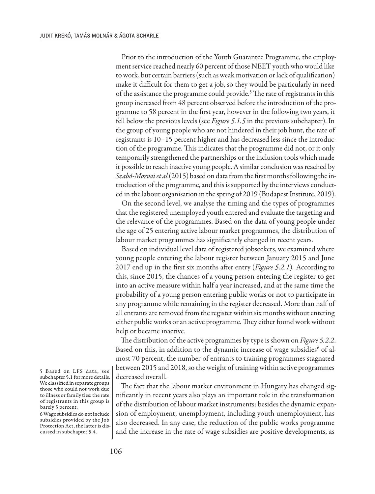Prior to the introduction of the Youth Guarantee Programme, the employment service reached nearly 60 percent of those NEET youth who would like to work, but certain barriers (such as weak motivation or lack of qualification) make it difficult for them to get a job, so they would be particularly in need of the assistance the programme could provide.<sup>5</sup> The rate of registrants in this group increased from 48 percent observed before the introduction of the programme to 58 percent in the first year, however in the following two years, it fell below the previous levels (see *Figure 5.1.5* in the previous subchapter). In the group of young people who are not hindered in their job hunt, the rate of registrants is 10–15 percent higher and has decreased less since the introduction of the programme. This indicates that the programme did not, or it only temporarily strengthened the partnerships or the inclusion tools which made it possible to reach inactive young people. A similar conclusion was reached by *Szabó-Morvaiet al* (2015) based on data from the first months following the introduction of the programme, and this is supported by the interviews conducted in the labour organisation in the spring of 2019 (Budapest Institute, 2019).

On the second level, we analyse the timing and the types of programmes that the registered unemployed youth entered and evaluate the targeting and the relevance of the programmes. Based on the data of young people under the age of 25 entering active labour market programmes, the distribution of labour market programmes has significantly changed in recent years.

Based on individual level data of registered jobseekers, we examined where young people entering the labour register between January 2015 and June 2017 end up in the first six months after entry (*Figure 5.2.1*)*.* According to this, since 2015, the chances of a young person entering the register to get into an active measure within half a year increased, and at the same time the probability of a young person entering public works or not to participate in any programme while remaining in the register decreased. More than half of all entrants are removed from the register within six months without entering either public works or an active programme. They either found work without help or became inactive.

The distribution of the active programmes by type is shown on *Figure 5.2.2*. Based on this, in addition to the dynamic increase of wage subsidies<sup>6</sup> of almost 70 percent, the number of entrants to training programmes stagnated between 2015 and 2018, so the weight of training within active programmes decreased overall.

The fact that the labour market environment in Hungary has changed significantly in recent years also plays an important role in the transformation of the distribution of labour market instruments: besides the dynamic expansion of employment, unemployment, including youth unemployment, has also decreased. In any case, the reduction of the public works programme and the increase in the rate of wage subsidies are positive developments, as

5 Based on LFS data, see subchapter 5.1 for more details. We classified in separate groups those who could not work due to illness or family ties: the rate of registrants in this group is barely 5 percent.

6 Wage subsidies do not include subsidies provided by the Job Protection Act, the latter is discussed in subchapter 5.4.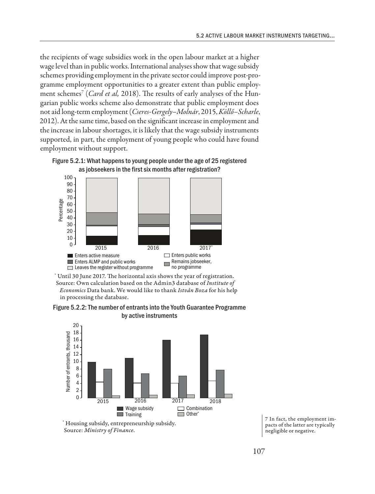the recipients of wage subsidies work in the open labour market at a higher wage level than in public works. International analyses show that wage subsidy schemes providing employment in the private sector could improve post-programme employment opportunities to a greater extent than public employment schemes<sup>7</sup> (*Card et al*, 2018). The results of early analyses of the Hungarian public works scheme also demonstrate that public employment does not aid long-term employment (*Cseres-Gergely–Molnár*, 2015, *Köllő–Scharle*, 2012). At the same time, based on the significant increase in employment and the increase in labour shortages, it is likely that the wage subsidy instruments supported, in part, the employment of young people who could have found employment without support.





\* Until 30 June 2017. The horizontal axis shows the year of registration. Source: Own calculation based on the Admin3 database of *Institute of Economics* Data bank. We would like to thank *István Boza* for his help in processing the database.

Figure 5.2.2: The number of entrants into the Youth Guarantee Programme by active instruments



\* Housing subsidy, entrepreneurship subsidy. Source: *Ministry of Finance*.

7 In fact, the employment impacts of the latter are typically negligible or negative.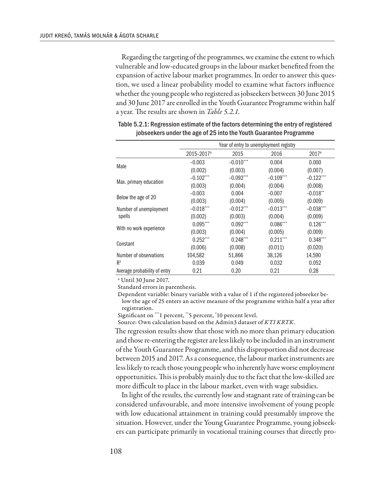Regarding the targeting of the programmes, we examine the extent to which vulnerable and low-educated groups in the labour market benefited from the expansion of active labour market programmes. In order to answer this question, we used a linear probability model to examine what factors influence whether the young people who registered as jobseekers between 30 June 2015 and 30 June 2017 are enrolled in the Youth Guarantee Programme within half a year. The results are shown in *Table 5.2.1.*

|                                  | Year of entry to unemployment registry |             |             |                        |
|----------------------------------|----------------------------------------|-------------|-------------|------------------------|
|                                  | 2015-2017 <sup>a</sup>                 | 2015        | 2016        | $2017^a$               |
| Male                             | $-0.003$                               | $-0.010***$ | 0.004       | 0.000                  |
|                                  | (0.002)                                | (0.003)     | (0.004)     | (0.007)                |
| Max. primary education           | $-0.102***$                            | $-0.092***$ | $-0.109***$ | $-0.122$ ***           |
|                                  | (0.003)                                | (0.004)     | (0.004)     | (0.008)                |
| Below the age of 20              | $-0.003$                               | 0.004       | $-0.007$    | $-0.018$ <sup>**</sup> |
|                                  | (0.003)                                | (0.004)     | (0.005)     | (0.009)                |
| Number of unemployment<br>spells | $-0.018***$                            | $-0.012***$ | $-0.013***$ | $-0.038***$            |
|                                  | (0.002)                                | (0.003)     | (0.004)     | (0.009)                |
| With no work experience          | $0.095***$                             | $0.092***$  | $0.086***$  | $0.126***$             |
|                                  | (0.003)                                | (0.004)     | (0.005)     | (0.009)                |
| Constant                         | $0.252***$                             | $0.248***$  | $0.211***$  | $0.348$ ***            |
|                                  | (0.006)                                | (0.008)     | (0.011)     | (0.020)                |
| Number of observations           | 104,582                                | 51,866      | 38,126      | 14,590                 |
| R <sup>2</sup>                   | 0.039                                  | 0.049       | 0.032       | 0.052                  |
| Average probability of entry     | 0.21                                   | 0.20        | 0.21        | 0.28                   |

| Table 5.2.1: Regression estimate of the factors determining the entry of registered |
|-------------------------------------------------------------------------------------|
| jobseekers under the age of 25 into the Youth Guarantee Programme                   |

a Until 30 June 2017.

Standard errors in parenthesis.

Dependent variable: binary variable with a value of 1 if the registered jobseeker below the age of 25 enters an active measure of the programme within half a year after registration.

Significant on \*\*\*1 percent, \*\*5 percent, \* 10 percent level.

Source: Own calculation based on the Admin3 dataset of *KTI KRTK*.

The regression results show that those with no more than primary education and those re-entering the register are less likely to be included in an instrument of the Youth Guarantee Programme, and this disproportion did not decrease between 2015 and 2017. As a consequence, the labour market instruments are less likely to reach those young people who inherently have worse employment opportunities. This is probably mainly due to the fact that the low-skilled are more difficult to place in the labour market, even with wage subsidies.

In light of the results, the currently low and stagnant rate of training can be considered unfavourable, and more intensive involvement of young people with low educational attainment in training could presumably improve the situation. However, under the Young Guarantee Programme, young jobseekers can participate primarily in vocational training courses that directly pro